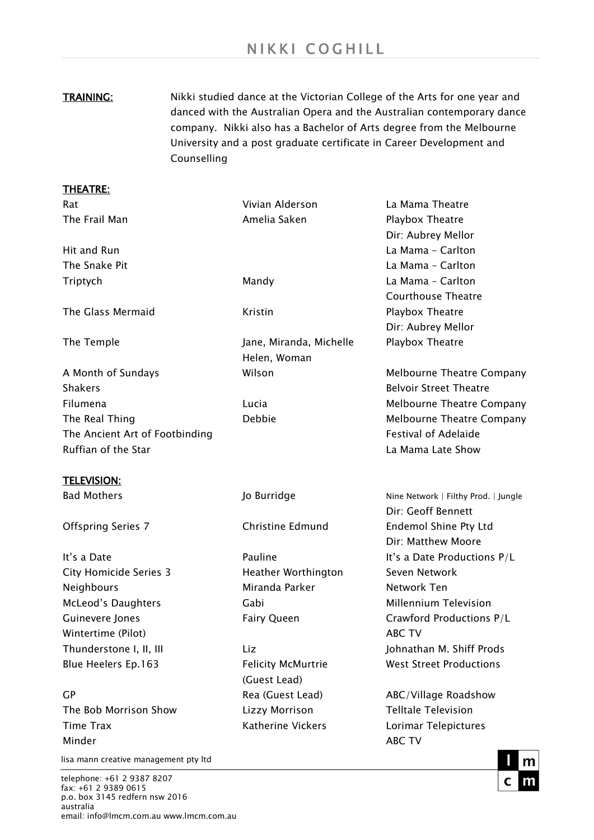**TRAINING:** Nikki studied dance at the Victorian College of the Arts for one year and danced with the Australian Opera and the Australian contemporary dance company. Nikki also has a Bachelor of Arts degree from the Melbourne University and a post graduate certificate in Career Development and Counselling

## THEATRE: Rat Vivian Alderson La Mama Theatre The Frail Man Amelia Saken Amelia Saken Playbox Theatre Dir: Aubrey Mellor Hit and Run La Mama – Carlton The Snake Pit **La Mama – Carlton** Triptych Mandy La Mama – Carlton Courthouse Theatre The Glass Mermaid The Glass Mermaid Communisties Aristin Communist Playbox Theatre Dir: Aubrey Mellor The Temple Jane, Miranda, Michelle Playbox Theatre Helen, Woman A Month of Sundays Wilson Melbourne Theatre Company Shakers **Belvoir Street Theatre** Filumena Lucia Melbourne Theatre Company The Real Thing The Real Thing The Real Thing Debbie Theatre Company The Ancient Art of Footbinding The Ancient Art of Festival of Adelaide Ruffian of the Star **La Mama Late Show** La Mama Late Show TELEVISION: Bad Mothers **Mathers** Jo Burridge Nine Network | Filthy Prod. | Jungle Dir: Geoff Bennett Offspring Series 7 Christine Edmund Endemol Shine Pty Ltd Dir: Matthew Moore It's a Date Pauline It's a Date Productions P/L City Homicide Series 3 Theather Worthington Seven Network Neighbours Miranda Parker Network Ten McLeod's Daughters **Millennium Television** Gabi Millennium Television Guinevere Jones Fairy Queen Crawford Productions P/L Wintertime (Pilot) and the contraction of the contraction of the contraction of the contraction of the contraction of the contraction of the contraction of the contraction of the contraction of the contraction of the contr Thunderstone I, II, III Liz Liz Liz Johnathan M. Shiff Prods Blue Heelers Ep.163 Felicity McMurtrie West Street Productions (Guest Lead) GP **GP** Rea (Guest Lead) ABC/Village Roadshow The Bob Morrison Show Lizzy Morrison Telltale Television Time Trax **Example 20** Katherine Vickers **Lorimar Telepictures** Minder ABC TV ABC TV ABC TV ABC TV ABC TV ABC TV ABC TV ABC TV ABC TV ABC TV ABC TV ABC TV ABC TV ABC TV ABC TV

lisa mann creative management pty ltd